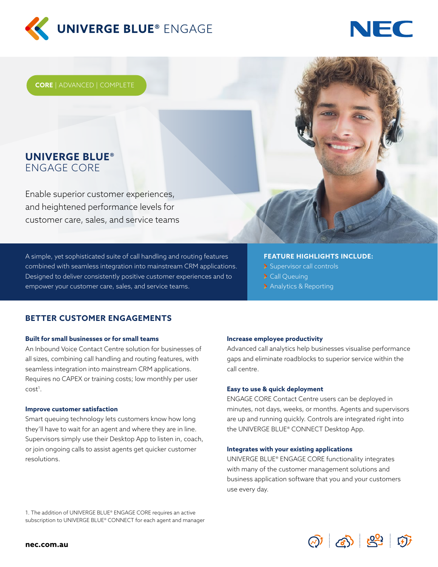

# NHC

**CORE** | ADVANCED | COMPLETE

# **UNIVERGE BLUE®**  ENGAGE CORE

Enable superior customer experiences, and heightened performance levels for customer care, sales, and service teams

A simple, yet sophisticated suite of call handling and routing features combined with seamless integration into mainstream CRM applications. Designed to deliver consistently positive customer experiences and to empower your customer care, sales, and service teams.

### **FEATURE HIGHLIGHTS INCLUDE:**

- Supervisor call controls
- > Call Queuing
- > Analytics & Reporting

## **BETTER CUSTOMER ENGAGEMENTS**

#### **Built for small businesses or for small teams**

An Inbound Voice Contact Centre solution for businesses of all sizes, combining call handling and routing features, with seamless integration into mainstream CRM applications. Requires no CAPEX or training costs; low monthly per user  $cost<sup>1</sup>$ .

#### **Improve customer satisfaction**

Smart queuing technology lets customers know how long they'll have to wait for an agent and where they are in line. Supervisors simply use their Desktop App to listen in, coach, or join ongoing calls to assist agents get quicker customer resolutions.

#### **Increase employee productivity**

Advanced call analytics help businesses visualise performance gaps and eliminate roadblocks to superior service within the call centre.

#### **Easy to use & quick deployment**

ENGAGE CORE Contact Centre users can be deployed in minutes, not days, weeks, or months. Agents and supervisors are up and running quickly. Controls are integrated right into the UNIVERGE BLUE® CONNECT Desktop App.

#### **Integrates with your existing applications**

UNIVERGE BLUE® ENGAGE CORE functionality integrates with many of the customer management solutions and business application software that you and your customers use every day.

1. The addition of UNIVERGE BLUE® ENGAGE CORE requires an active subscription to UNIVERGE BLUE® CONNECT for each agent and manager